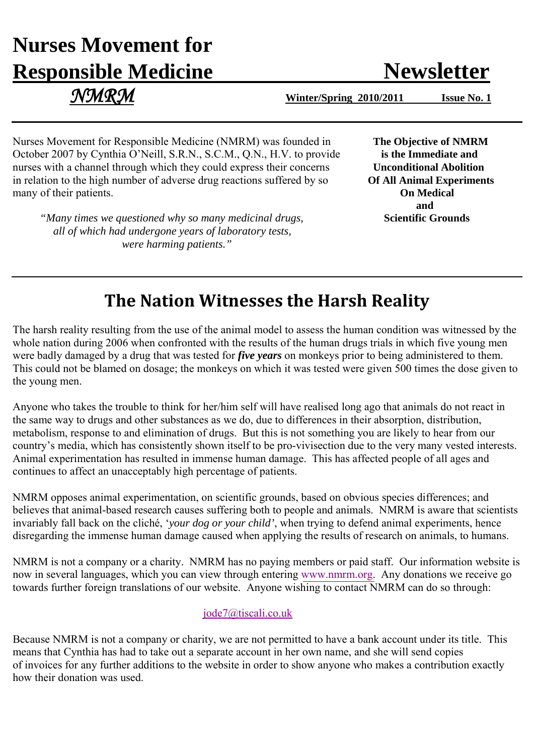# **Nurses Movement for Responsible Medicine Newsletter**

 *NMRM* **Winter/Spring 2010/2011 Issue No. 1**

Nurses Movement for Responsible Medicine (NMRM) was founded in **The Objective of NMRM** October 2007 by Cynthia O'Neill, S.R.N., S.C.M., Q.N., H.V. to provide **is the Immediate and** nurses with a channel through which they could express their concerns **Unconditional Abolition** in relation to the high number of adverse drug reactions suffered by so **Of All Animal Experiments**<br> **On Medical** many of their patients.

*"Many times we questioned why so many medicinal drugs,* **Scientific Grounds**  *all of which had undergone years of laboratory tests, were harming patients."*

 **and** 

## **The Nation Witnesses the Harsh Reality**

The harsh reality resulting from the use of the animal model to assess the human condition was witnessed by the whole nation during 2006 when confronted with the results of the human drugs trials in which five young men were badly damaged by a drug that was tested for *five years* on monkeys prior to being administered to them. This could not be blamed on dosage; the monkeys on which it was tested were given 500 times the dose given to the young men.

Anyone who takes the trouble to think for her/him self will have realised long ago that animals do not react in the same way to drugs and other substances as we do, due to differences in their absorption, distribution, metabolism, response to and elimination of drugs. But this is not something you are likely to hear from our country's media, which has consistently shown itself to be pro-vivisection due to the very many vested interests. Animal experimentation has resulted in immense human damage. This has affected people of all ages and continues to affect an unacceptably high percentage of patients.

NMRM opposes animal experimentation, on scientific grounds, based on obvious species differences; and believes that animal-based research causes suffering both to people and animals. NMRM is aware that scientists invariably fall back on the cliché, '*your dog or your child'*, when trying to defend animal experiments, hence disregarding the immense human damage caused when applying the results of research on animals, to humans.

NMRM is not a company or a charity. NMRM has no paying members or paid staff. Our information website is now in several languages, which you can view through entering www.nmrm.org. Any don[ations we receive](http://www.nmrm.org/) go towards further foreign translations of our website. Anyone wishing to contact NMRM can do so through:

### jode7@tiscali.co.uk

Because NMRM is not a company or charity, we are not permitted to have a bank account under its title. This means that Cynthia has had to take out a separate account in her own name, and she will send copies of invoices for any further additions to the website in order to show anyone who makes a contribution exactly how their donation was used.